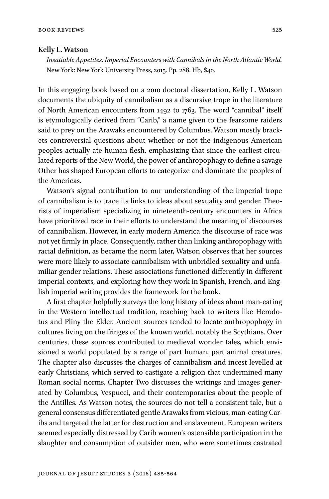## **Kelly L. Watson**

*Insatiable Appetites: Imperial Encounters with Cannibals in the North Atlantic World.*  New York: New York University Press, 2015. Pp. 288. Hb, \$40.

In this engaging book based on a 2010 doctoral dissertation, Kelly L. Watson documents the ubiquity of cannibalism as a discursive trope in the literature of North American encounters from 1492 to 1763. The word "cannibal" itself is etymologically derived from "Carib," a name given to the fearsome raiders said to prey on the Arawaks encountered by Columbus. Watson mostly brackets controversial questions about whether or not the indigenous American peoples actually ate human flesh, emphasizing that since the earliest circulated reports of the New World, the power of anthropophagy to define a savage Other has shaped European efforts to categorize and dominate the peoples of the Americas.

Watson's signal contribution to our understanding of the imperial trope of cannibalism is to trace its links to ideas about sexuality and gender. Theorists of imperialism specializing in nineteenth-century encounters in Africa have prioritized race in their efforts to understand the meaning of discourses of cannibalism. However, in early modern America the discourse of race was not yet firmly in place. Consequently, rather than linking anthropophagy with racial definition, as became the norm later, Watson observes that her sources were more likely to associate cannibalism with unbridled sexuality and unfamiliar gender relations. These associations functioned differently in different imperial contexts, and exploring how they work in Spanish, French, and English imperial writing provides the framework for the book.

A first chapter helpfully surveys the long history of ideas about man-eating in the Western intellectual tradition, reaching back to writers like Herodotus and Pliny the Elder. Ancient sources tended to locate anthropophagy in cultures living on the fringes of the known world, notably the Scythians. Over centuries, these sources contributed to medieval wonder tales, which envisioned a world populated by a range of part human, part animal creatures. The chapter also discusses the charges of cannibalism and incest levelled at early Christians, which served to castigate a religion that undermined many Roman social norms. Chapter Two discusses the writings and images generated by Columbus, Vespucci, and their contemporaries about the people of the Antilles. As Watson notes, the sources do not tell a consistent tale, but a general consensus differentiated gentle Arawaks from vicious, man-eating Caribs and targeted the latter for destruction and enslavement. European writers seemed especially distressed by Carib women's ostensible participation in the slaughter and consumption of outsider men, who were sometimes castrated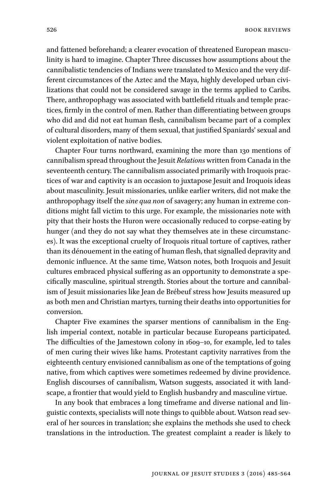Book Reviews

and fattened beforehand; a clearer evocation of threatened European masculinity is hard to imagine. Chapter Three discusses how assumptions about the cannibalistic tendencies of Indians were translated to Mexico and the very different circumstances of the Aztec and the Maya, highly developed urban civilizations that could not be considered savage in the terms applied to Caribs. There, anthropophagy was associated with battlefield rituals and temple practices, firmly in the control of men. Rather than differentiating between groups who did and did not eat human flesh, cannibalism became part of a complex of cultural disorders, many of them sexual, that justified Spaniards' sexual and violent exploitation of native bodies.

Chapter Four turns northward, examining the more than 130 mentions of cannibalism spread throughout the Jesuit *Relations* written from Canada in the seventeenth century. The cannibalism associated primarily with Iroquois practices of war and captivity is an occasion to juxtapose Jesuit and Iroquois ideas about masculinity. Jesuit missionaries, unlike earlier writers, did not make the anthropophagy itself the *sine qua non* of savagery; any human in extreme conditions might fall victim to this urge. For example, the missionaries note with pity that their hosts the Huron were occasionally reduced to corpse-eating by hunger (and they do not say what they themselves ate in these circumstances). It was the exceptional cruelty of Iroquois ritual torture of captives, rather than its dénouement in the eating of human flesh, that signalled depravity and demonic influence. At the same time, Watson notes, both Iroquois and Jesuit cultures embraced physical suffering as an opportunity to demonstrate a specifically masculine, spiritual strength. Stories about the torture and cannibalism of Jesuit missionaries like Jean de Brébeuf stress how Jesuits measured up as both men and Christian martyrs, turning their deaths into opportunities for conversion.

Chapter Five examines the sparser mentions of cannibalism in the English imperial context, notable in particular because Europeans participated. The difficulties of the Jamestown colony in 1609–10, for example, led to tales of men curing their wives like hams. Protestant captivity narratives from the eighteenth century envisioned cannibalism as one of the temptations of going native, from which captives were sometimes redeemed by divine providence. English discourses of cannibalism, Watson suggests, associated it with landscape, a frontier that would yield to English husbandry and masculine virtue.

In any book that embraces a long timeframe and diverse national and linguistic contexts, specialists will note things to quibble about. Watson read several of her sources in translation; she explains the methods she used to check translations in the introduction. The greatest complaint a reader is likely to

526